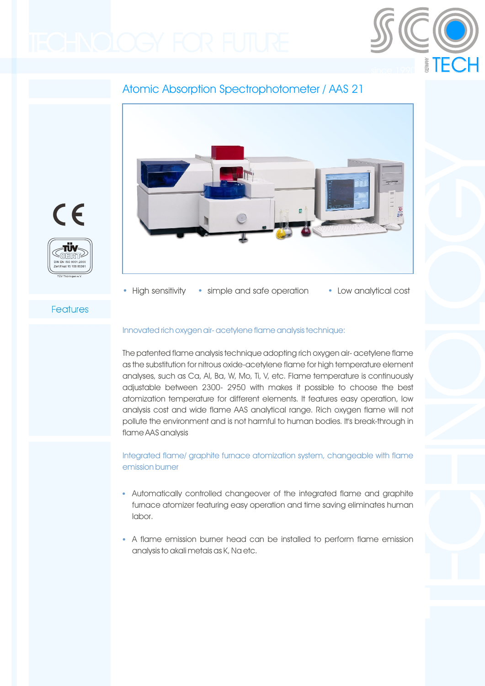

# Atomic Absorption Spectrophotometer / AAS 21





• High sensitivity • simple and safe operation • Low analytical cost

## Features

#### Innovated rich oxygen air- acetylene flame analysis technique:

The patented flame analysis technique adopting rich oxygen air- acetylene flame as the substitution for nitrous oxide-acetylene flame for high temperature element analyses, such as Ca, Al, Ba, W, Mo, Ti, V, etc. Flame temperature is continuously adjustable between 2300- 2950 with makes it possible to choose the best atomization temperature for different elements. It features easy operation, low analysis cost and wide flame AAS analytical range. Rich oxygen flame will not pollute the environment and is not harmful to human bodies. It's break-through in flame AAS analysis

Integrated flame/ graphite furnace atomization system, changeable with flame emission burner

- Automatically controlled changeover of the integrated flame and graphite furnace atomizer featuring easy operation and time saving eliminates human labor.
- A flame emission burner head can be installed to perform flame emission analysis to akali metais as K, Na etc.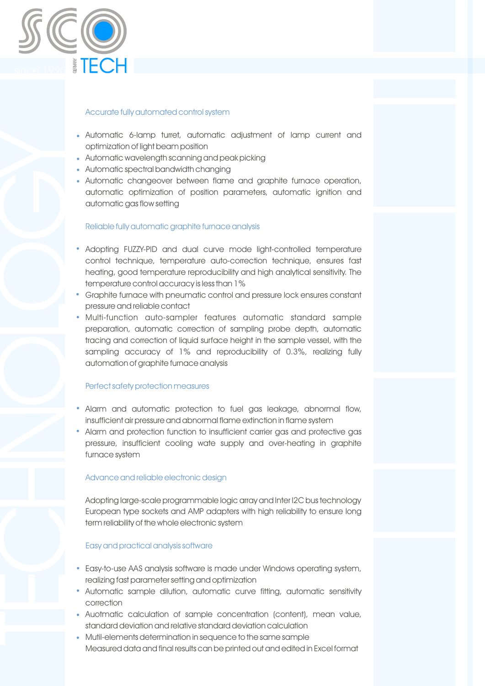

#### Accurate fully automated control system

- Automatic 6-lamp turret, automatic adjustment of lamp current and optimization of light beam position
- Automatic wavelength scanning and peak picking •
- Automatic spectral bandwidth changing
- Automatic changeover between flame and graphite furnace operation, automatic optimization of position parameters, automatic ignition and automatic gas flow setting

#### Reliable fully automatic graphite furnace analysis

- Adopting FUZZY-PID and dual curve mode light-controlled temperature control technique, temperature auto-correction technique, ensures fast heating, good temperature reproducibility and high analytical sensitivity. The temperature control accuracy is less than 1%
- Graphite furnace with pneumatic control and pressure lock ensures constant pressure and reliable contact
- Multi-function auto-sampler features automatic standard sample preparation, automatic correction of sampling probe depth, automatic tracing and correction of liquid surface height in the sample vessel, with the sampling accuracy of 1% and reproducibility of 0.3%, realizing fully automation of graphite furnace analysis

#### Perfect safety protection measures

- Alarm and automatic protection to fuel gas leakage, abnormal flow, insufficient air pressure and abnormal flame extinction in flame system
- Alarm and protection function to insufficient carrier gas and protective gas pressure, insufficient cooling wate supply and over-heating in graphite furnace system

#### Advance and reliable electronic design

Adopting large-scale programmable logic array and Inter I2C bus technology European type sockets and AMP adapters with high reliability to ensure long term reliability of the whole electronic system

#### Easy and practical analysis software

- Easy-to-use AAS analysis software is made under Windows operating system, realizing fast parameter setting and optimization
- Automatic sample dilution, automatic curve fitting, automatic sensitivity correction
- Auotmatic calculation of sample concentration (content), mean value, standard deviation and relative standard deviation calculation
- Mutil-elements determination in sequence to the same sample •Measured data and final results can be printed out and edited in Excel format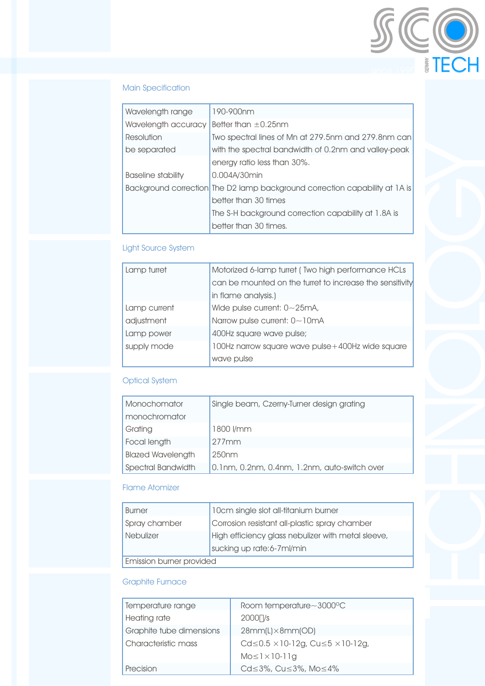

## Main Specification

| Wavelength range    | 190-900nm                                                                   |  |  |  |
|---------------------|-----------------------------------------------------------------------------|--|--|--|
| Wavelength accuracy | Better than $\pm 0.25$ nm                                                   |  |  |  |
| Resolution          | Two spectral lines of Mn at 279.5nm and 279.8nm can                         |  |  |  |
| be separated        | with the spectral bandwidth of 0.2nm and valley-peak                        |  |  |  |
|                     | energy ratio less than 30%.                                                 |  |  |  |
| Baseline stability  | 0.004A/30min                                                                |  |  |  |
|                     | Background correction The D2 lamp background correction capability at 1A is |  |  |  |
|                     | better than 30 times                                                        |  |  |  |
|                     | The S-H background correction capability at 1.8A is                         |  |  |  |
|                     | better than 30 times.                                                       |  |  |  |

## Light Source System

| Lamp turret  | Motorized 6-lamp turret (Two high performance HCLs       |  |  |
|--------------|----------------------------------------------------------|--|--|
|              | can be mounted on the turret to increase the sensitivity |  |  |
|              | in flame analysis.)                                      |  |  |
| Lamp current | Wide pulse current: $0 \sim 25 \text{mA}$ ,              |  |  |
| adjustment   | Narrow pulse current: $0 \sim 10$ mA                     |  |  |
| Lamp power   | 400Hz square wave pulse;                                 |  |  |
| supply mode  | 100Hz narrow square wave pulse +400Hz wide square        |  |  |
|              | wave pulse                                               |  |  |

## Optical System

| Monochomator             | Single beam, Czerny-Turner design grating    |  |
|--------------------------|----------------------------------------------|--|
| monochromator            |                                              |  |
| Grating                  | 1800 l/mm                                    |  |
| Focal length             | $277$ mm                                     |  |
| <b>Blazed Wavelength</b> | 250 <sub>nm</sub>                            |  |
| Spectral Bandwidth       | 0.1nm, 0.2nm, 0.4nm, 1.2nm, auto-switch over |  |

## Flame Atomizer

| <b>Burner</b>            | 10cm single slot all-titanium burner               |  |
|--------------------------|----------------------------------------------------|--|
| Spray chamber            | Corrosion resistant all-plastic spray chamber      |  |
| Nebulizer                | High efficiency glass nebulizer with metal sleeve, |  |
|                          | sucking up rate:6-7ml/min                          |  |
| Emission burner provided |                                                    |  |

## Graphite Furnace

| Temperature range        | Room temperature~3000°C                                     |
|--------------------------|-------------------------------------------------------------|
| Heating rate             | $2000$ $\frac{1}{s}$                                        |
| Graphite tube dimensions | $28mm(L)\times 8mm(OD)$                                     |
| Characteristic mass      | Cd $\leq$ 0.5 $\times$ 10-12g, Cu $\leq$ 5 $\times$ 10-12g, |
|                          | $Mo \leq l \times l0$ -llg                                  |
| Precision                | Cd≤3%, Cu≤3%, Mo≤4%                                         |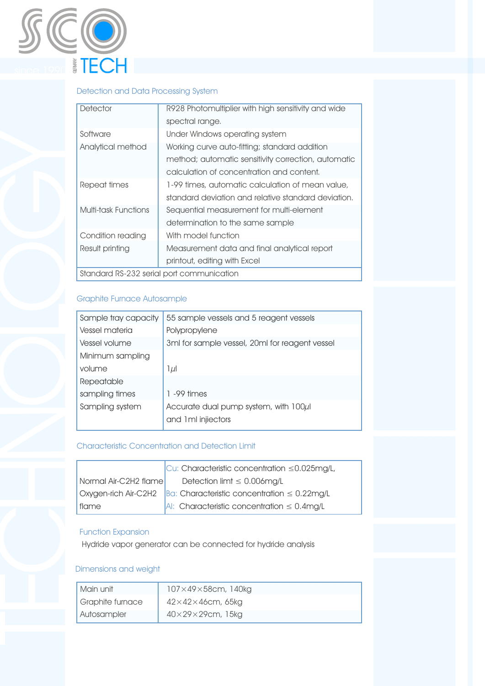

## Detection and Data Processing System

| Detector                                  | R928 Photomultiplier with high sensitivity and wide |  |  |
|-------------------------------------------|-----------------------------------------------------|--|--|
|                                           | spectral range.                                     |  |  |
| Software                                  | Under Windows operating system                      |  |  |
| Analytical method                         | Working curve auto-fitting; standard addition       |  |  |
|                                           | method; automatic sensitivity correction, automatic |  |  |
|                                           | calculation of concentration and content.           |  |  |
| Repeat times                              | 1-99 times, automatic calculation of mean value,    |  |  |
|                                           | standard deviation and relative standard deviation. |  |  |
| Multi-task Functions                      | Sequential measurement for multi-element            |  |  |
|                                           | determination to the same sample                    |  |  |
| Condition reading                         | With model function                                 |  |  |
| Result printing                           | Measurement data and final analytical report        |  |  |
|                                           | printout, editing with Excel                        |  |  |
| Standard RS-232 serial port communication |                                                     |  |  |

## Graphite Furnace Autosample

| Sample tray capacity | 55 sample vessels and 5 reagent vessels                      |
|----------------------|--------------------------------------------------------------|
| Vessel materia       | Polypropylene                                                |
| Vessel volume        | 3ml for sample vessel, 20ml for reagent vessel               |
| Minimum sampling     |                                                              |
| volume               | $1 \mu$                                                      |
| Repeatable           |                                                              |
| sampling times       | $1 - 99$ times                                               |
| Sampling system      | Accurate dual pump system, with 100µl<br>and 1 ml injiectors |
|                      |                                                              |

#### Characteristic Concentration and Detection Limit

|                       | $\vert$ Cu: Characteristic concentration $\leq$ 0.025mg/L,                             |  |  |
|-----------------------|----------------------------------------------------------------------------------------|--|--|
| Normal Air-C2H2 flame | Detection limit $\leq$ 0.006mg/L                                                       |  |  |
|                       | $\alpha$ Oxygen-rich Air-C2H2 $\beta$ a: Characteristic concentration $\leq 0.22$ mg/L |  |  |
| flame                 | $ A $ : Characteristic concentration $\leq 0.4$ mg/L                                   |  |  |

#### Function Expansion

Hydride vapor generator can be connected for hydride analysis

### Dimensions and weight

| Main unit        | $107\times49\times58$ cm, 140kg |
|------------------|---------------------------------|
| Graphite furnace | $42\times42\times46$ cm, 65kg   |
| Autosampler      | $40\times29\times29$ cm, 15kg   |